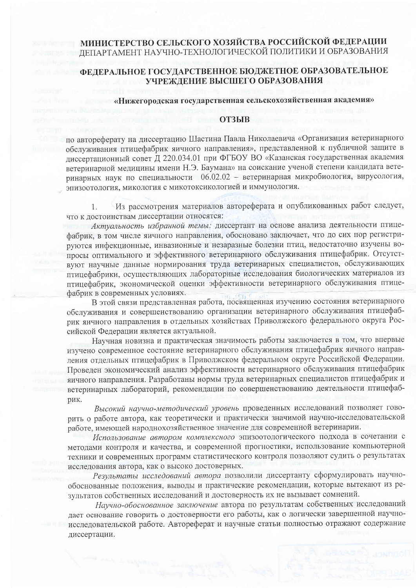## МИНИСТЕРСТВО СЕЛЬСКОГО ХОЗЯЙСТВА РОССИЙСКОЙ ФЕДЕРАЦИИ ДЕПАРТАМЕНТ НАУЧНО-ТЕХНОЛОГИЧЕСКОЙ ПОЛИТИКИ И ОБРАЗОВАНИЯ

## ФЕДЕРАЛЬНОЕ ГОСУДАРСТВЕННОЕ БЮДЖЕТНОЕ ОБРАЗОВАТЕЛЬНОЕ УЧРЕЖДЕНИЕ ВЫСШЕГО ОБРАЗОВАНИЯ

## «Нижегородская государственная сельскохозяйственная академия»

## **ОТЗЫВ**

по автореферату на диссертацию Шастина Павла Николаевича «Организация ветеринарного обслуживания птицефабрик яичного направления», представленной к публичной защите в диссертационный совет Д 220.034.01 при ФГБОУ ВО «Казанская государственная академия ветеринарной медицины имени Н.Э. Баумана» на соискание ученой степени кандидата ветеринарных наук по специальности 06.02.02 - ветеринарная микробиология, вирусология, эпизоотология, микология с микотоксикологией и иммунология.

Из рассмотрения материалов автореферата и опубликованных работ следует, 1. что к достоинствам диссертации относятся:

Актуальность избранной темы: диссертант на основе анализа деятельности птицефабрик, в том числе яичного направления, обосновано заключает, что до сих пор регистрируются инфекционные, инвазионные и незаразные болезни птиц, недостаточно изучены вопросы оптимального и эффективного ветеринарного обслуживания птицефабрик. Отсутствуют научные данные нормирования труда ветеринарных специалистов, обслуживающих птицефабрики, осуществляющих лабораторные исследования биологических материалов из птицефабрик, экономической оценки эффективности ветеринарного обслуживания птицефабрик в современных условиях.

В этой связи представленная работа, посвященная изучению состояния ветеринарного обслуживания и совершенствованию организации ветеринарного обслуживания птицефабрик яичного направления в отдельных хозяйствах Приволжского федерального округа Российской Федерации является актуальной.

Научная новизна и практическая значимость работы заключается в том, что впервые изучено современное состояние ветеринарного обслуживания птицефабрик яичного направления отдельных птицефабрик в Приволжском федеральном округе Российской Федерации. Проведен экономический анализ эффективности ветеринарного обслуживания птицефабрик яичного направления. Разработаны нормы труда ветеринарных специалистов птицефабрик и ветеринарных лабораторий, рекомендации по совершенствованию деятельности птицефабрик.

Высокий научно-методический уровень проведенных исследований позволяет говорить о работе автора, как теоретически и практически значимой научно-исследовательской работе, имеющей народнохозяйственное значение для современной ветеринарии.

Использование автором комплексного эпизоотологического подхода в сочетании с методами контроля и качества, и современной прогностики, использование компьютерной техники и современных программ статистического контроля позволяют судить о результатах исследования автора, как о высоко достоверных.

Результаты исследований автора позволили диссертанту сформулировать научнообоснованные положения, выводы и практические рекомендации, которые вытекают из результатов собственных исследований и достоверность их не вызывает сомнений.

Научно-обоснованное заключение автора по результатам собственных исследований дает основание говорить о достоверности его работы, как о логически завершенной научноисследовательской работе. Автореферат и научные статьи полностью отражают содержание диссертации.